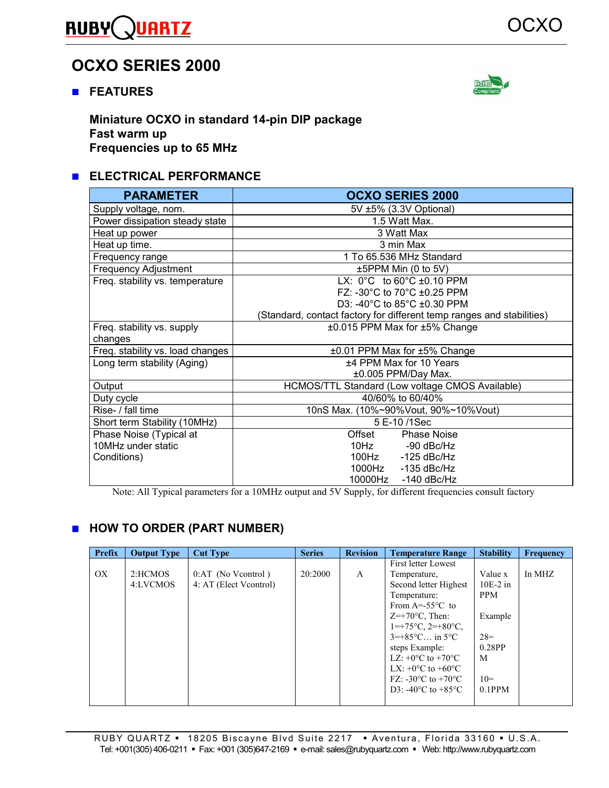#### **RUBY ARTZ**

# **OCXO SERIES 2000**

**FEATURES** 



**Miniature OCXO in standard 14-pin DIP package Fast warm up Frequencies up to 65 MHz** 

## **ELECTRICAL PERFORMANCE**

| <b>PARAMETER</b>                 | <b>OCXO SERIES 2000</b>                                               |  |  |  |  |  |
|----------------------------------|-----------------------------------------------------------------------|--|--|--|--|--|
| Supply voltage, nom.             | 5V ±5% (3.3V Optional)                                                |  |  |  |  |  |
| Power dissipation steady state   | 1.5 Watt Max.                                                         |  |  |  |  |  |
| Heat up power                    | 3 Watt Max                                                            |  |  |  |  |  |
| Heat up time.                    | 3 min Max                                                             |  |  |  |  |  |
| Frequency range                  | 1 To 65.536 MHz Standard                                              |  |  |  |  |  |
| <b>Frequency Adjustment</b>      | ±5PPM Min (0 to 5V)                                                   |  |  |  |  |  |
| Freq. stability vs. temperature  | LX: $0^{\circ}$ C to $60^{\circ}$ C ±0.10 PPM                         |  |  |  |  |  |
|                                  | FZ: -30 $^{\circ}$ C to 70 $^{\circ}$ C ±0.25 PPM                     |  |  |  |  |  |
|                                  | D3: -40°C to 85°C ±0.30 PPM                                           |  |  |  |  |  |
|                                  | (Standard, contact factory for different temp ranges and stabilities) |  |  |  |  |  |
| Freq. stability vs. supply       | ±0.015 PPM Max for ±5% Change                                         |  |  |  |  |  |
| changes                          |                                                                       |  |  |  |  |  |
| Freq. stability vs. load changes | ±0.01 PPM Max for ±5% Change                                          |  |  |  |  |  |
| Long term stability (Aging)      | ±4 PPM Max for 10 Years                                               |  |  |  |  |  |
|                                  | ±0.005 PPM/Day Max.                                                   |  |  |  |  |  |
| Output                           | HCMOS/TTL Standard (Low voltage CMOS Available)                       |  |  |  |  |  |
| Duty cycle                       | 40/60% to 60/40%                                                      |  |  |  |  |  |
| Rise- / fall time                | 10nS Max. (10%~90%Vout, 90%~10%Vout)                                  |  |  |  |  |  |
| Short term Stability (10MHz)     | 5 E-10/1Sec                                                           |  |  |  |  |  |
| Phase Noise (Typical at          | Offset<br><b>Phase Noise</b>                                          |  |  |  |  |  |
| 10MHz under static               | 10Hz<br>-90 dBc/Hz                                                    |  |  |  |  |  |
| Conditions)                      | 100Hz -125 dBc/Hz                                                     |  |  |  |  |  |
|                                  | 1000Hz<br>$-135$ dBc/Hz                                               |  |  |  |  |  |
|                                  | 10000Hz<br>$-140$ dBc/Hz                                              |  |  |  |  |  |

Note: All Typical parameters for a 10MHz output and 5V Supply, for different frequencies consult factory

## **HOW TO ORDER (PART NUMBER)**

| Prefix | <b>Output Type</b> | <b>Cut Type</b>        | <b>Series</b> | <b>Revision</b> | <b>Temperature Range</b>                         | <b>Stability</b> | <b>Frequency</b> |
|--------|--------------------|------------------------|---------------|-----------------|--------------------------------------------------|------------------|------------------|
|        |                    |                        |               |                 | First letter Lowest                              |                  |                  |
| OX     | 2:HCMOS            | $0:AT$ (No Veontrol)   | 20:2000       | A               | Temperature,                                     | Value x          | In MHZ           |
|        | 4:LVCMOS           | 4: AT (Elect Veontrol) |               |                 | Second letter Highest                            | $10E-2$ in       |                  |
|        |                    |                        |               |                 | Temperature:                                     | <b>PPM</b>       |                  |
|        |                    |                        |               |                 | From $A = -55^{\circ}C$ to                       |                  |                  |
|        |                    |                        |               |                 | $Z=+70^{\circ}$ C, Then:                         | Example          |                  |
|        |                    |                        |               |                 | $1 = +75^{\circ}C$ , $2 = +80^{\circ}C$ ,        |                  |                  |
|        |                    |                        |               |                 | $3=+85^{\circ}$ C in $5^{\circ}$ C.              | $28=$            |                  |
|        |                    |                        |               |                 | steps Example:                                   | 0.28PP           |                  |
|        |                    |                        |               |                 | LZ: $+0$ °C to $+70$ °C                          | M                |                  |
|        |                    |                        |               |                 | LX: $+0$ °C to $+60$ °C                          |                  |                  |
|        |                    |                        |               |                 | FZ: -30 $\rm{^{\circ}C}$ to +70 $\rm{^{\circ}C}$ | $10=$            |                  |
|        |                    |                        |               |                 | D3: -40 $^{\circ}$ C to +85 $^{\circ}$ C         | $0.1$ PPM        |                  |
|        |                    |                        |               |                 |                                                  |                  |                  |